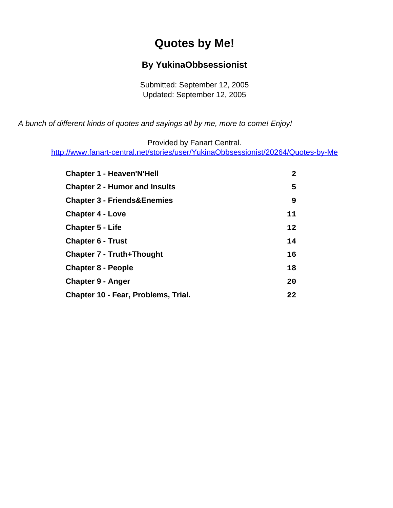# **Quotes by Me!**

#### **By YukinaObbsessionist**

Submitted: September 12, 2005 Updated: September 12, 2005

<span id="page-0-0"></span>A bunch of different kinds of quotes and sayings all by me, more to come! Enjoy!

Provided by Fanart Central.

[http://www.fanart-central.net/stories/user/YukinaObbsessionist/20264/Quotes-by-Me](#page-0-0)

| <b>Chapter 1 - Heaven'N'Hell</b>       | $\mathbf{2}$ |
|----------------------------------------|--------------|
| <b>Chapter 2 - Humor and Insults</b>   | 5            |
| <b>Chapter 3 - Friends&amp;Enemies</b> | 9            |
| <b>Chapter 4 - Love</b>                | 11           |
| <b>Chapter 5 - Life</b>                | $12 \,$      |
| <b>Chapter 6 - Trust</b>               | 14           |
| <b>Chapter 7 - Truth+Thought</b>       | 16           |
| <b>Chapter 8 - People</b>              | 18           |
| <b>Chapter 9 - Anger</b>               | 20           |
| Chapter 10 - Fear, Problems, Trial.    | 22           |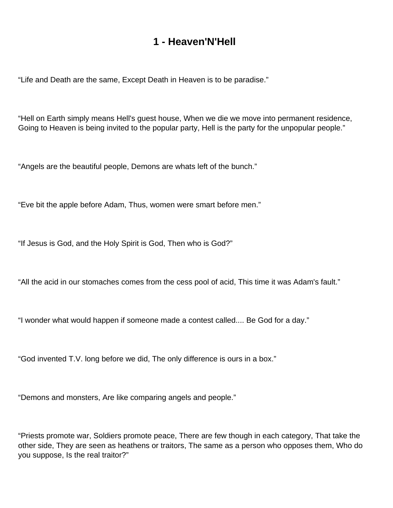### **1 - Heaven'N'Hell**

<span id="page-1-0"></span>"Life and Death are the same, Except Death in Heaven is to be paradise."

"Hell on Earth simply means Hell's guest house, When we die we move into permanent residence, Going to Heaven is being invited to the popular party, Hell is the party for the unpopular people."

"Angels are the beautiful people, Demons are whats left of the bunch."

"Eve bit the apple before Adam, Thus, women were smart before men."

"If Jesus is God, and the Holy Spirit is God, Then who is God?"

"All the acid in our stomaches comes from the cess pool of acid, This time it was Adam's fault."

"I wonder what would happen if someone made a contest called.... Be God for a day."

"God invented T.V. long before we did, The only difference is ours in a box."

"Demons and monsters, Are like comparing angels and people."

"Priests promote war, Soldiers promote peace, There are few though in each category, That take the other side, They are seen as heathens or traitors, The same as a person who opposes them, Who do you suppose, Is the real traitor?"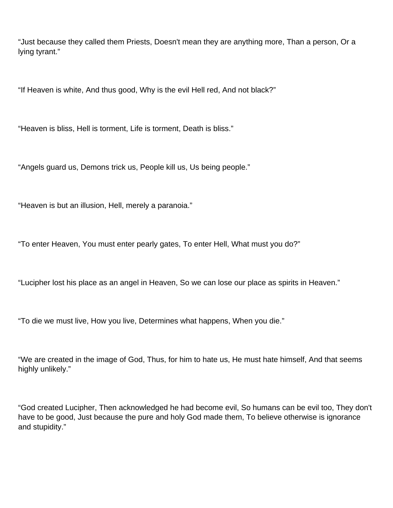"Just because they called them Priests, Doesn't mean they are anything more, Than a person, Or a lying tyrant."

"If Heaven is white, And thus good, Why is the evil Hell red, And not black?"

"Heaven is bliss, Hell is torment, Life is torment, Death is bliss."

"Angels guard us, Demons trick us, People kill us, Us being people."

"Heaven is but an illusion, Hell, merely a paranoia."

"To enter Heaven, You must enter pearly gates, To enter Hell, What must you do?"

"Lucipher lost his place as an angel in Heaven, So we can lose our place as spirits in Heaven."

"To die we must live, How you live, Determines what happens, When you die."

"We are created in the image of God, Thus, for him to hate us, He must hate himself, And that seems highly unlikely."

"God created Lucipher, Then acknowledged he had become evil, So humans can be evil too, They don't have to be good, Just because the pure and holy God made them, To believe otherwise is ignorance and stupidity."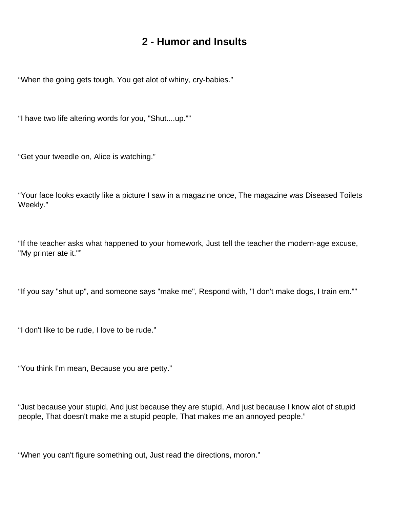### **2 - Humor and Insults**

<span id="page-4-0"></span>"When the going gets tough, You get alot of whiny, cry-babies."

"I have two life altering words for you, "Shut....up.""

"Get your tweedle on, Alice is watching."

"Your face looks exactly like a picture I saw in a magazine once, The magazine was Diseased Toilets Weekly."

"If the teacher asks what happened to your homework, Just tell the teacher the modern-age excuse, "My printer ate it.""

"If you say "shut up", and someone says "make me", Respond with, "I don't make dogs, I train em.""

"I don't like to be rude, I love to be rude."

"You think I'm mean, Because you are petty."

"Just because your stupid, And just because they are stupid, And just because I know alot of stupid people, That doesn't make me a stupid people, That makes me an annoyed people."

"When you can't figure something out, Just read the directions, moron."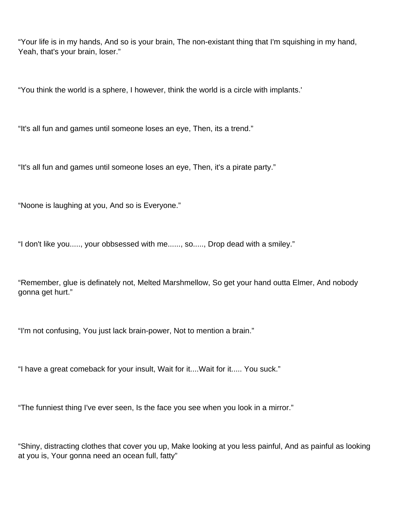"Your life is in my hands, And so is your brain, The non-existant thing that I'm squishing in my hand, Yeah, that's your brain, loser."

"You think the world is a sphere, I however, think the world is a circle with implants.'

"It's all fun and games until someone loses an eye, Then, its a trend."

"It's all fun and games until someone loses an eye, Then, it's a pirate party."

"Noone is laughing at you, And so is Everyone."

"I don't like you....., your obbsessed with me......, so....., Drop dead with a smiley."

"Remember, glue is definately not, Melted Marshmellow, So get your hand outta Elmer, And nobody gonna get hurt."

"I'm not confusing, You just lack brain-power, Not to mention a brain."

"I have a great comeback for your insult, Wait for it....Wait for it..... You suck."

"The funniest thing I've ever seen, Is the face you see when you look in a mirror."

"Shiny, distracting clothes that cover you up, Make looking at you less painful, And as painful as looking at you is, Your gonna need an ocean full, fatty"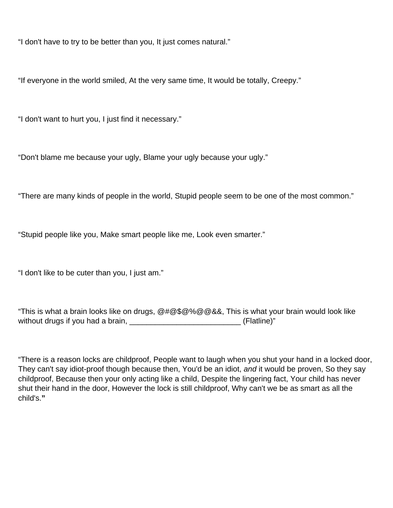"I don't have to try to be better than you, It just comes natural."

"If everyone in the world smiled, At the very same time, It would be totally, Creepy."

"I don't want to hurt you, I just find it necessary."

"Don't blame me because your ugly, Blame your ugly because your ugly."

"There are many kinds of people in the world, Stupid people seem to be one of the most common."

"Stupid people like you, Make smart people like me, Look even smarter."

"I don't like to be cuter than you, I just am."

"This is what a brain looks like on drugs, @#@\$@%@@&&, This is what your brain would look like without drugs if you had a brain,  $\blacksquare$  (Flatline)"

"There is a reason locks are childproof, People want to laugh when you shut your hand in a locked door, They can't say idiot-proof though because then, You'd be an idiot, and it would be proven, So they say childproof, Because then your only acting like a child, Despite the lingering fact, Your child has never shut their hand in the door, However the lock is still childproof, Why can't we be as smart as all the child's.**"**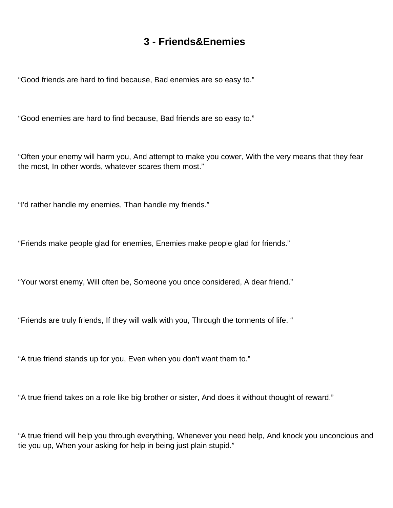### **3 - Friends&Enemies**

<span id="page-8-0"></span>"Good friends are hard to find because, Bad enemies are so easy to."

"Good enemies are hard to find because, Bad friends are so easy to."

"Often your enemy will harm you, And attempt to make you cower, With the very means that they fear the most, In other words, whatever scares them most."

"I'd rather handle my enemies, Than handle my friends."

"Friends make people glad for enemies, Enemies make people glad for friends."

"Your worst enemy, Will often be, Someone you once considered, A dear friend."

"Friends are truly friends, If they will walk with you, Through the torments of life. "

"A true friend stands up for you, Even when you don't want them to."

"A true friend takes on a role like big brother or sister, And does it without thought of reward."

"A true friend will help you through everything, Whenever you need help, And knock you unconcious and tie you up, When your asking for help in being just plain stupid."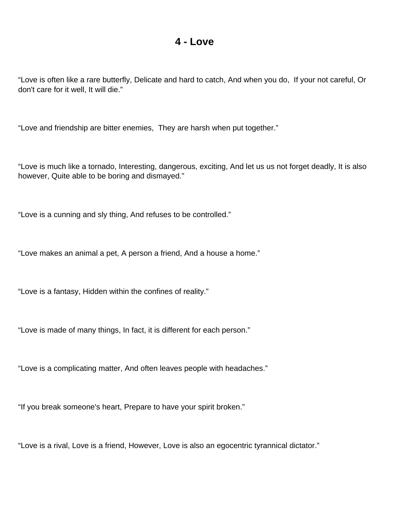#### **4 - Love**

<span id="page-10-0"></span>"Love is often like a rare butterfly, Delicate and hard to catch, And when you do, If your not careful, Or don't care for it well, It will die."

"Love and friendship are bitter enemies, They are harsh when put together."

"Love is much like a tornado, Interesting, dangerous, exciting, And let us us not forget deadly, It is also however, Quite able to be boring and dismayed."

"Love is a cunning and sly thing, And refuses to be controlled."

"Love makes an animal a pet, A person a friend, And a house a home."

"Love is a fantasy, Hidden within the confines of reality."

"Love is made of many things, In fact, it is different for each person."

"Love is a complicating matter, And often leaves people with headaches."

"If you break someone's heart, Prepare to have your spirit broken."

"Love is a rival, Love is a friend, However, Love is also an egocentric tyrannical dictator."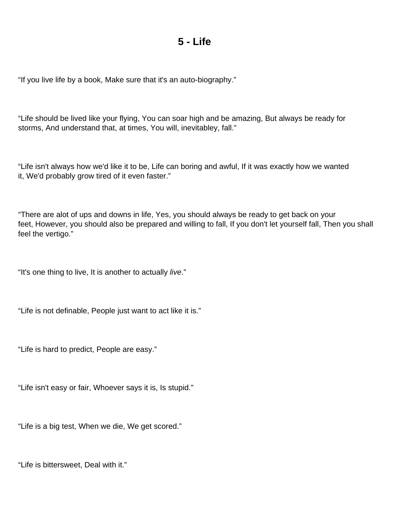#### **5 - Life**

<span id="page-11-0"></span>"If you live life by a book, Make sure that it's an auto-biography."

"Life should be lived like your flying, You can soar high and be amazing, But always be ready for storms, And understand that, at times, You will, inevitabley, fall."

"Life isn't always how we'd like it to be, Life can boring and awful, If it was exactly how we wanted it, We'd probably grow tired of it even faster."

"There are alot of ups and downs in life, Yes, you should always be ready to get back on your feet, However, you should also be prepared and willing to fall, If you don't let yourself fall, Then you shall feel the vertigo."

"It's one thing to live, It is another to actually live."

"Life is not definable, People just want to act like it is."

"Life is hard to predict, People are easy."

"Life isn't easy or fair, Whoever says it is, Is stupid."

"Life is a big test, When we die, We get scored."

"Life is bittersweet, Deal with it."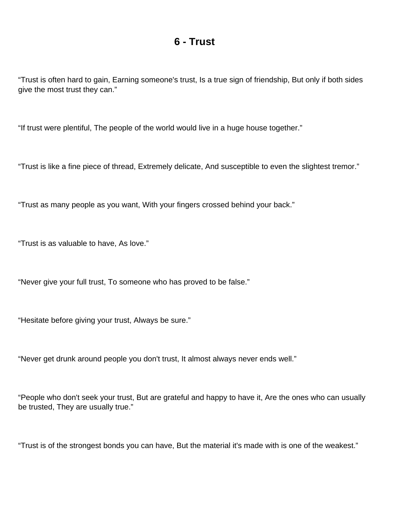#### **6 - Trust**

<span id="page-13-0"></span>"Trust is often hard to gain, Earning someone's trust, Is a true sign of friendship, But only if both sides give the most trust they can."

"If trust were plentiful, The people of the world would live in a huge house together."

"Trust is like a fine piece of thread, Extremely delicate, And susceptible to even the slightest tremor."

"Trust as many people as you want, With your fingers crossed behind your back."

"Trust is as valuable to have, As love."

"Never give your full trust, To someone who has proved to be false."

"Hesitate before giving your trust, Always be sure."

"Never get drunk around people you don't trust, It almost always never ends well."

"People who don't seek your trust, But are grateful and happy to have it, Are the ones who can usually be trusted, They are usually true."

"Trust is of the strongest bonds you can have, But the material it's made with is one of the weakest."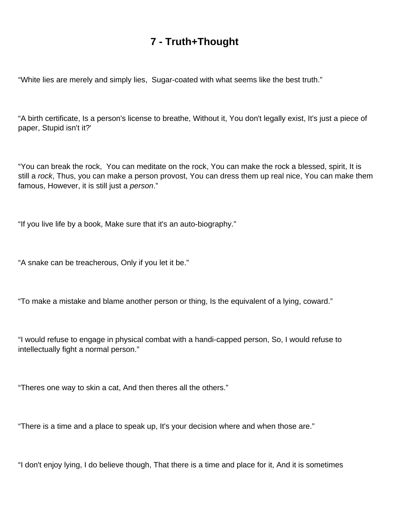## **7 - Truth+Thought**

<span id="page-15-0"></span>"White lies are merely and simply lies, Sugar-coated with what seems like the best truth."

"A birth certificate, Is a person's license to breathe, Without it, You don't legally exist, It's just a piece of paper, Stupid isn't it?'

"You can break the rock, You can meditate on the rock, You can make the rock a blessed, spirit, It is still a rock, Thus, you can make a person provost, You can dress them up real nice, You can make them famous, However, it is still just a *person.*"

"If you live life by a book, Make sure that it's an auto-biography."

"A snake can be treacherous, Only if you let it be."

"To make a mistake and blame another person or thing, Is the equivalent of a lying, coward."

"I would refuse to engage in physical combat with a handi-capped person, So, I would refuse to intellectually fight a normal person."

"Theres one way to skin a cat, And then theres all the others."

"There is a time and a place to speak up, It's your decision where and when those are."

"I don't enjoy lying, I do believe though, That there is a time and place for it, And it is sometimes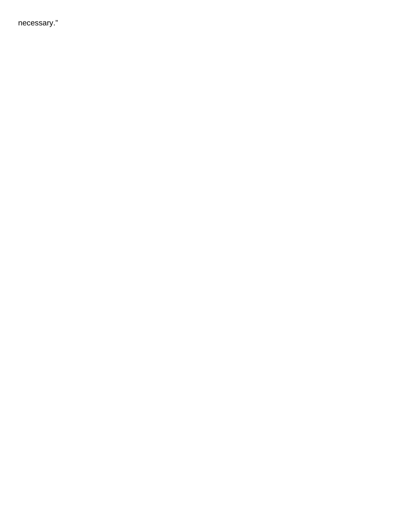necessary."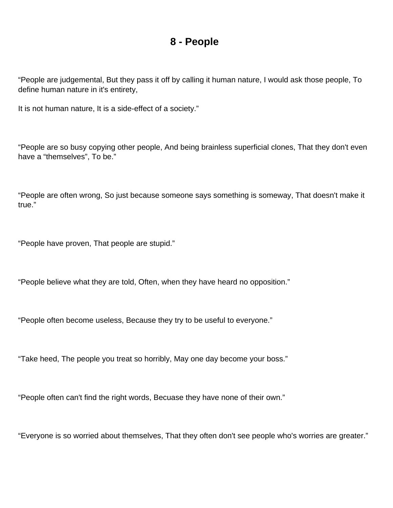#### **8 - People**

<span id="page-17-0"></span>"People are judgemental, But they pass it off by calling it human nature, I would ask those people, To define human nature in it's entirety,

It is not human nature, It is a side-effect of a society."

"People are so busy copying other people, And being brainless superficial clones, That they don't even have a "themselves", To be."

"People are often wrong, So just because someone says something is someway, That doesn't make it true."

"People have proven, That people are stupid."

"People believe what they are told, Often, when they have heard no opposition."

"People often become useless, Because they try to be useful to everyone."

"Take heed, The people you treat so horribly, May one day become your boss."

"People often can't find the right words, Becuase they have none of their own."

"Everyone is so worried about themselves, That they often don't see people who's worries are greater."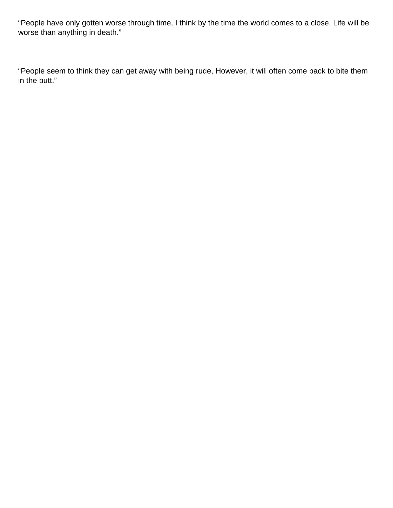"People have only gotten worse through time, I think by the time the world comes to a close, Life will be worse than anything in death."

"People seem to think they can get away with being rude, However, it will often come back to bite them in the butt."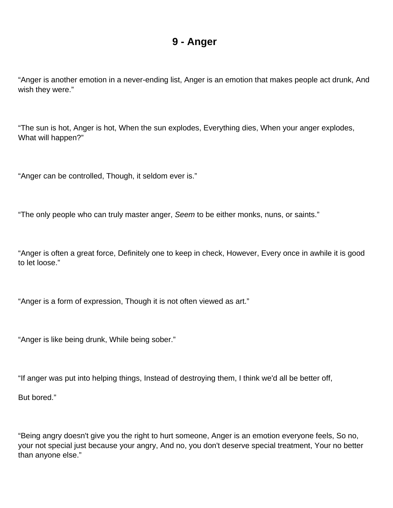#### **9 - Anger**

<span id="page-19-0"></span>"Anger is another emotion in a never-ending list, Anger is an emotion that makes people act drunk, And wish they were."

"The sun is hot, Anger is hot, When the sun explodes, Everything dies, When your anger explodes, What will happen?"

"Anger can be controlled, Though, it seldom ever is."

"The only people who can truly master anger, Seem to be either monks, nuns, or saints."

"Anger is often a great force, Definitely one to keep in check, However, Every once in awhile it is good to let loose."

"Anger is a form of expression, Though it is not often viewed as art."

"Anger is like being drunk, While being sober."

"If anger was put into helping things, Instead of destroying them, I think we'd all be better off,

But bored."

"Being angry doesn't give you the right to hurt someone, Anger is an emotion everyone feels, So no, your not special just because your angry, And no, you don't deserve special treatment, Your no better than anyone else."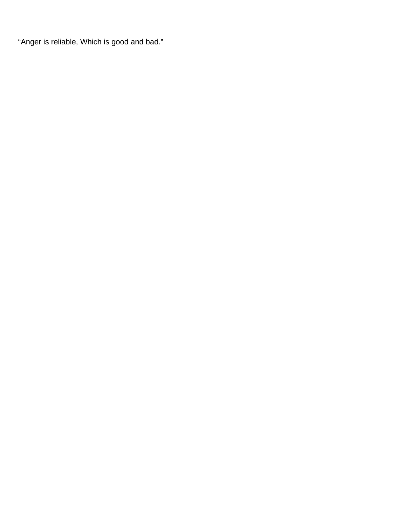"Anger is reliable, Which is good and bad."